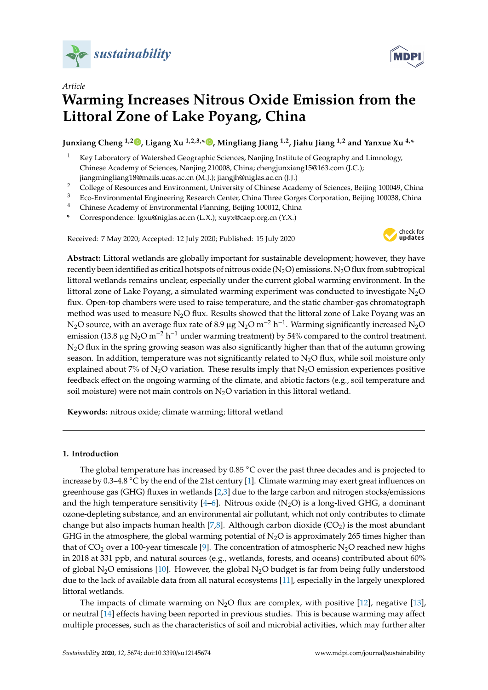

*Article*



# **Warming Increases Nitrous Oxide Emission from the Littoral Zone of Lake Poyang, China**

**Junxiang Cheng 1,2 [,](https://orcid.org/0000-0002-3406-2838) Ligang Xu 1,2,3,\* [,](https://orcid.org/0000-0002-8000-7258) Mingliang Jiang 1,2, Jiahu Jiang 1,2 and Yanxue Xu 4,\***

- <sup>1</sup> Key Laboratory of Watershed Geographic Sciences, Nanjing Institute of Geography and Limnology, Chinese Academy of Sciences, Nanjing 210008, China; chengjunxiang15@163.com (J.C.); jiangmingliang18@mails.ucas.ac.cn (M.J.); jiangjh@niglas.ac.cn (J.J.)
- <sup>2</sup> College of Resources and Environment, University of Chinese Academy of Sciences, Beijing 100049, China<br><sup>3</sup> Este Environmental Fracincesing Peaceab Center China Thua Canac Campantian, Beijing 100039, China
- <sup>3</sup> Eco-Environmental Engineering Research Center, China Three Gorges Corporation, Beijing 100038, China
- <sup>4</sup> Chinese Academy of Environmental Planning, Beijing 100012, China
- **\*** Correspondence: lgxu@niglas.ac.cn (L.X.); xuyx@caep.org.cn (Y.X.)

Received: 7 May 2020; Accepted: 12 July 2020; Published: 15 July 2020



**Abstract:** Littoral wetlands are globally important for sustainable development; however, they have recently been identified as critical hotspots of nitrous oxide ( $N_2O$ ) emissions. N<sub>2</sub>O flux from subtropical littoral wetlands remains unclear, especially under the current global warming environment. In the littoral zone of Lake Poyang, a simulated warming experiment was conducted to investigate  $N<sub>2</sub>O$ flux. Open-top chambers were used to raise temperature, and the static chamber-gas chromatograph method was used to measure  $N<sub>2</sub>O$  flux. Results showed that the littoral zone of Lake Poyang was an N<sub>2</sub>O source, with an average flux rate of 8.9 µg N<sub>2</sub>O m<sup>-2</sup> h<sup>-1</sup>. Warming significantly increased N<sub>2</sub>O emission (13.8 µg N<sub>2</sub>O m<sup>-2</sup> h<sup>-1</sup> under warming treatment) by 54% compared to the control treatment.  $N<sub>2</sub>O$  flux in the spring growing season was also significantly higher than that of the autumn growing season. In addition, temperature was not significantly related to  $N<sub>2</sub>O$  flux, while soil moisture only explained about 7% of N<sub>2</sub>O variation. These results imply that N<sub>2</sub>O emission experiences positive feedback effect on the ongoing warming of the climate, and abiotic factors (e.g., soil temperature and soil moisture) were not main controls on  $N_2O$  variation in this littoral wetland.

**Keywords:** nitrous oxide; climate warming; littoral wetland

#### **1. Introduction**

The global temperature has increased by 0.85 °C over the past three decades and is projected to increase by 0.3–4.8 ◦C by the end of the 21st century [\[1\]](#page-8-0). Climate warming may exert great influences on greenhouse gas (GHG) fluxes in wetlands [\[2,](#page-8-1)[3\]](#page-8-2) due to the large carbon and nitrogen stocks/emissions and the high temperature sensitivity  $[4-6]$  $[4-6]$ . Nitrous oxide  $(N_2O)$  is a long-lived GHG, a dominant ozone-depleting substance, and an environmental air pollutant, which not only contributes to climate change but also impacts human health [\[7](#page-8-5)[,8\]](#page-8-6). Although carbon dioxide ( $CO<sub>2</sub>$ ) is the most abundant GHG in the atmosphere, the global warming potential of  $N_2O$  is approximately 265 times higher than that of  $CO_2$  over a 100-year timescale [\[9\]](#page-8-7). The concentration of atmospheric N<sub>2</sub>O reached new highs in 2018 at 331 ppb, and natural sources (e.g., wetlands, forests, and oceans) contributed about 60% of global N<sub>2</sub>O emissions [\[10\]](#page-9-0). However, the global N<sub>2</sub>O budget is far from being fully understood due to the lack of available data from all natural ecosystems [\[11\]](#page-9-1), especially in the largely unexplored littoral wetlands.

The impacts of climate warming on  $N_2O$  flux are complex, with positive [\[12\]](#page-9-2), negative [\[13\]](#page-9-3), or neutral [\[14\]](#page-9-4) effects having been reported in previous studies. This is because warming may affect multiple processes, such as the characteristics of soil and microbial activities, which may further alter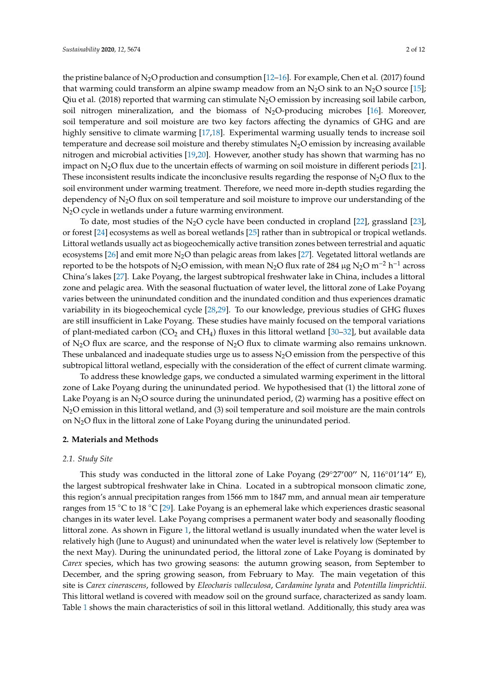the pristine balance of  $N_2O$  production and consumption  $[12-16]$  $[12-16]$ . For example, Chen et al. (2017) found that warming could transform an alpine swamp meadow from an  $N_2O$  sink to an  $N_2O$  source [\[15\]](#page-9-6); Qiu et al. (2018) reported that warming can stimulate N<sub>2</sub>O emission by increasing soil labile carbon, soil nitrogen mineralization, and the biomass of  $N_2O$ -producing microbes [\[16\]](#page-9-5). Moreover, soil temperature and soil moisture are two key factors affecting the dynamics of GHG and are highly sensitive to climate warming [\[17,](#page-9-7)[18\]](#page-9-8). Experimental warming usually tends to increase soil temperature and decrease soil moisture and thereby stimulates  $N<sub>2</sub>O$  emission by increasing available nitrogen and microbial activities [\[19,](#page-9-9)[20\]](#page-9-10). However, another study has shown that warming has no impact on  $N_2O$  flux due to the uncertain effects of warming on soil moisture in different periods [\[21\]](#page-9-11). These inconsistent results indicate the inconclusive results regarding the response of  $N_2O$  flux to the soil environment under warming treatment. Therefore, we need more in-depth studies regarding the dependency of  $N_2O$  flux on soil temperature and soil moisture to improve our understanding of the N2O cycle in wetlands under a future warming environment.

To date, most studies of the N<sub>2</sub>O cycle have been conducted in cropland [\[22\]](#page-9-12), grassland [\[23\]](#page-9-13), or forest [\[24\]](#page-9-14) ecosystems as well as boreal wetlands [\[25\]](#page-9-15) rather than in subtropical or tropical wetlands. Littoral wetlands usually act as biogeochemically active transition zones between terrestrial and aquatic ecosystems [\[26\]](#page-9-16) and emit more  $N_2O$  than pelagic areas from lakes [\[27\]](#page-9-17). Vegetated littoral wetlands are reported to be the hotspots of N<sub>2</sub>O emission, with mean N<sub>2</sub>O flux rate of 284 µg N<sub>2</sub>O m<sup>-2</sup> h<sup>-1</sup> across China's lakes [\[27\]](#page-9-17). Lake Poyang, the largest subtropical freshwater lake in China, includes a littoral zone and pelagic area. With the seasonal fluctuation of water level, the littoral zone of Lake Poyang varies between the uninundated condition and the inundated condition and thus experiences dramatic variability in its biogeochemical cycle [\[28,](#page-9-18)[29\]](#page-9-19). To our knowledge, previous studies of GHG fluxes are still insufficient in Lake Poyang. These studies have mainly focused on the temporal variations of plant-mediated carbon ( $CO<sub>2</sub>$  and  $CH<sub>4</sub>$ ) fluxes in this littoral wetland [\[30–](#page-10-0)[32\]](#page-10-1), but available data of N<sub>2</sub>O flux are scarce, and the response of N<sub>2</sub>O flux to climate warming also remains unknown. These unbalanced and inadequate studies urge us to assess  $N_2O$  emission from the perspective of this subtropical littoral wetland, especially with the consideration of the effect of current climate warming.

To address these knowledge gaps, we conducted a simulated warming experiment in the littoral zone of Lake Poyang during the uninundated period. We hypothesised that (1) the littoral zone of Lake Poyang is an  $N_2O$  source during the uninundated period, (2) warming has a positive effect on N2O emission in this littoral wetland, and (3) soil temperature and soil moisture are the main controls on N2O flux in the littoral zone of Lake Poyang during the uninundated period.

#### **2. Materials and Methods**

#### *2.1. Study Site*

This study was conducted in the littoral zone of Lake Poyang (29°27'00" N, 116°01'14" E), the largest subtropical freshwater lake in China. Located in a subtropical monsoon climatic zone, this region's annual precipitation ranges from 1566 mm to 1847 mm, and annual mean air temperature ranges from 15 ◦C to 18 ◦C [\[29\]](#page-9-19). Lake Poyang is an ephemeral lake which experiences drastic seasonal changes in its water level. Lake Poyang comprises a permanent water body and seasonally flooding littoral zone. As shown in Figure [1,](#page-2-0) the littoral wetland is usually inundated when the water level is relatively high (June to August) and uninundated when the water level is relatively low (September to the next May). During the uninundated period, the littoral zone of Lake Poyang is dominated by *Carex* species, which has two growing seasons: the autumn growing season, from September to December, and the spring growing season, from February to May. The main vegetation of this site is *Carex cinerascens*, followed by *Eleocharis valleculosa*, *Cardamine lyrata* and *Potentilla limprichtii*. This littoral wetland is covered with meadow soil on the ground surface, characterized as sandy loam. Table [1](#page-2-1) shows the main characteristics of soil in this littoral wetland. Additionally, this study area was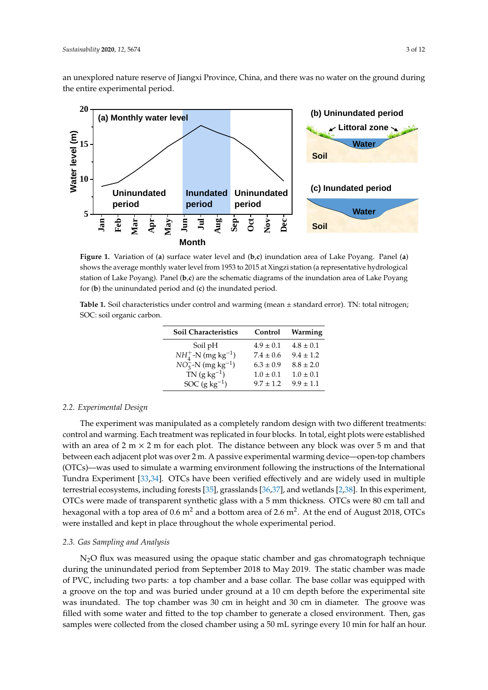an unexplored nature reserve of Jiangxi Province, China, and there was no water on the ground during the entire experimental period.

<span id="page-2-0"></span>

**Figure 1.** Variation of (**a**) surface water level and (**b**,**c**) inundation area of Lake Poyang. Panel (**a**) shows the average monthly water level from 1953 to 2015 at Xingzi station (a representative hydrological station of Lake Poyang). Panel (**b**,**c**) are the schematic diagrams of the inundation area of Lake Poyang for (**b**) the uninundated period and (**c**) the inundated period.

<span id="page-2-1"></span>**Table 1.** Soil characteristics under control and warming (mean ± standard error). TN: total nitrogen; SOC: soil organic carbon.

| Soil Characteristics               | Control       | Warming       |
|------------------------------------|---------------|---------------|
| Soil pH                            | $4.9 \pm 0.1$ | $4.8 \pm 0.1$ |
| $NH_4^+$ -N (mg kg <sup>-1</sup> ) | $7.4 \pm 0.6$ | $9.4 \pm 1.2$ |
| $NO_3^-$ -N (mg kg <sup>-1</sup> ) | $6.3 \pm 0.9$ | $8.8 \pm 2.0$ |
| $TN$ (g kg <sup>-1</sup> )         | $1.0 \pm 0.1$ | $1.0 \pm 0.1$ |
| SOC $(g \, kg^{-1})$               | $9.7 \pm 1.2$ | $9.9 \pm 1.1$ |

#### *2.2. Experimental Design*

The experiment was manipulated as a completely random design with two different treatments: control and warming. Each treatment was replicated in four blocks. In total, eight plots were established with an area of 2 m  $\times$  2 m for each plot. The distance between any block was over 5 m and that between each adjacent plot was over 2 m. A passive experimental warming device—open-top chambers (OTCs)—was used to simulate a warming environment following the instructions of the International Tundra Experiment [\[33](#page-10-2)[,34\]](#page-10-3). OTCs have been verified effectively and are widely used in multiple terrestrial ecosystems, including forests [\[35\]](#page-10-4), grasslands [\[36,](#page-10-5)[37\]](#page-10-6), and wetlands [\[2,](#page-8-1)[38\]](#page-10-7). In this experiment, OTCs were made of transparent synthetic glass with a 5 mm thickness. OTCs were 80 cm tall and hexagonal with a top area of 0.6  $\mathrm{m}^{2}$  and a bottom area of 2.6  $\mathrm{m}^{2}.$  At the end of August 2018, OTCs were installed and kept in place throughout the whole experimental period.

#### *2.3. Gas Sampling and Analysis*

N2O flux was measured using the opaque static chamber and gas chromatograph technique during the uninundated period from September 2018 to May 2019. The static chamber was made of PVC, including two parts: a top chamber and a base collar. The base collar was equipped with a groove on the top and was buried under ground at a 10 cm depth before the experimental site was inundated. The top chamber was 30 cm in height and 30 cm in diameter. The groove was filled with some water and fitted to the top chamber to generate a closed environment. Then, gas samples were collected from the closed chamber using a 50 mL syringe every 10 min for half an hour.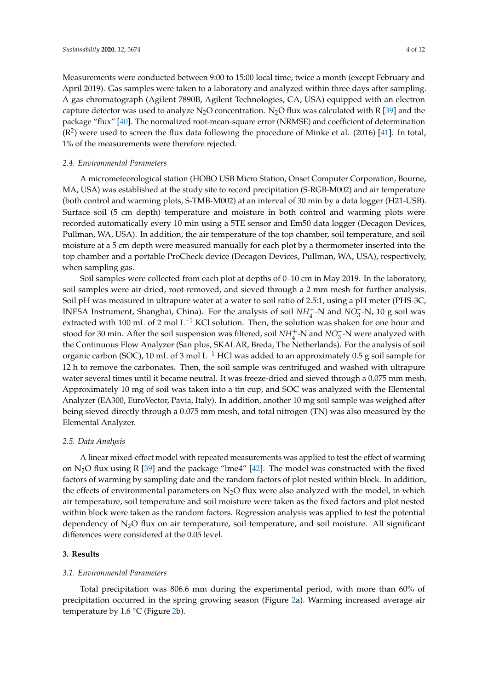Measurements were conducted between 9:00 to 15:00 local time, twice a month (except February and April 2019). Gas samples were taken to a laboratory and analyzed within three days after sampling. A gas chromatograph (Agilent 7890B, Agilent Technologies, CA, USA) equipped with an electron capture detector was used to analyze N<sub>2</sub>O concentration. N<sub>2</sub>O flux was calculated with R [\[39\]](#page-10-8) and the package "flux" [\[40\]](#page-10-9). The normalized root-mean-square error (NRMSE) and coefficient of determination  $(R<sup>2</sup>)$  were used to screen the flux data following the procedure of Minke et al. (2016) [\[41\]](#page-10-10). In total, 1% of the measurements were therefore rejected.

#### *2.4. Environmental Parameters*

A micrometeorological station (HOBO USB Micro Station, Onset Computer Corporation, Bourne, MA, USA) was established at the study site to record precipitation (S-RGB-M002) and air temperature (both control and warming plots, S-TMB-M002) at an interval of 30 min by a data logger (H21-USB). Surface soil (5 cm depth) temperature and moisture in both control and warming plots were recorded automatically every 10 min using a 5TE sensor and Em50 data logger (Decagon Devices, Pullman, WA, USA). In addition, the air temperature of the top chamber, soil temperature, and soil moisture at a 5 cm depth were measured manually for each plot by a thermometer inserted into the top chamber and a portable ProCheck device (Decagon Devices, Pullman, WA, USA), respectively, when sampling gas.

Soil samples were collected from each plot at depths of 0–10 cm in May 2019. In the laboratory, soil samples were air-dried, root-removed, and sieved through a 2 mm mesh for further analysis. Soil pH was measured in ultrapure water at a water to soil ratio of 2.5:1, using a pH meter (PHS-3C, INESA Instrument, Shanghai, China). For the analysis of soil  $NH_4^+$ -N and  $NO_3^-$ -N, 10 g soil was extracted with 100 mL of 2 mol L<sup>-1</sup> KCl solution. Then, the solution was shaken for one hour and stood for 30 min. After the soil suspension was filtered, soil *NH*<sup>+</sup><sub>4</sub>-N and *NO*<sub>3</sub>-N were analyzed with the Continuous Flow Analyzer (San plus, SKALAR, Breda, The Netherlands). For the analysis of soil organic carbon (SOC), 10 mL of 3 mol L<sup>-1</sup> HCl was added to an approximately 0.5 g soil sample for 12 h to remove the carbonates. Then, the soil sample was centrifuged and washed with ultrapure water several times until it became neutral. It was freeze-dried and sieved through a 0.075 mm mesh. Approximately 10 mg of soil was taken into a tin cup, and SOC was analyzed with the Elemental Analyzer (EA300, EuroVector, Pavia, Italy). In addition, another 10 mg soil sample was weighed after being sieved directly through a 0.075 mm mesh, and total nitrogen (TN) was also measured by the Elemental Analyzer.

#### *2.5. Data Analysis*

A linear mixed-effect model with repeated measurements was applied to test the effect of warming on N<sub>2</sub>O flux using R [\[39\]](#page-10-8) and the package "lme4" [\[42\]](#page-10-11). The model was constructed with the fixed factors of warming by sampling date and the random factors of plot nested within block. In addition, the effects of environmental parameters on  $N_2O$  flux were also analyzed with the model, in which air temperature, soil temperature and soil moisture were taken as the fixed factors and plot nested within block were taken as the random factors. Regression analysis was applied to test the potential dependency of  $N_2O$  flux on air temperature, soil temperature, and soil moisture. All significant differences were considered at the 0.05 level.

#### **3. Results**

#### *3.1. Environmental Parameters*

Total precipitation was 806.6 mm during the experimental period, with more than 60% of precipitation occurred in the spring growing season (Figure [2a](#page-4-0)). Warming increased average air temperature by 1.6  $°C$  (Figure [2b](#page-4-0)).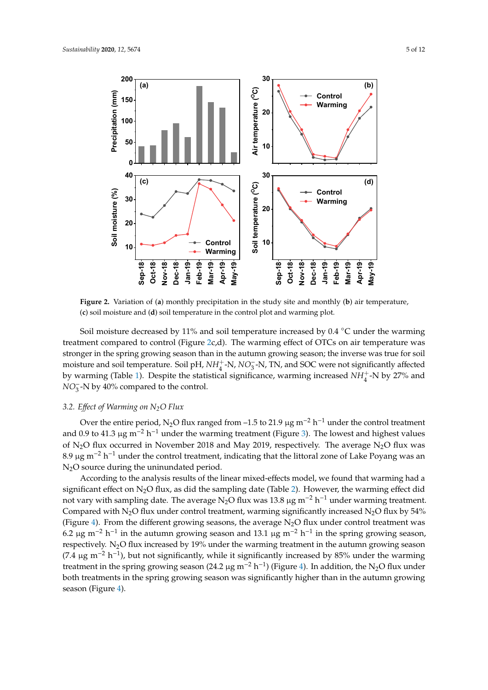<span id="page-4-0"></span>

(c) soil moisture and (d) soil temperature in the control plot and warming plot. **Figure 2.** Variation of (**a**) monthly precipitation in the study site and monthly (**b**) air temperature,

treatment compared to control (Figure [2c](#page-4-0),d). The warming effect of OTCs on air temperature was stronger in the spring growing season than in the autumn growing season; the inverse was true for soil moisture and soil temperature. Soil pH, *NH*<sup>+</sup><sub>4</sub>-N, *NO*<sub>3</sub>-N, TN, and SOC were not significantly affected by warming (Table [1\)](#page-2-1). Despite the statistical significance, warming increased  $NH<sub>4</sub><sup>+</sup>$ -N by 27% and  $NO<sub>3</sub><sup>-</sup>$  N by 40% compared to the control. Soil moisture decreased by 11% and soil temperature increased by 0.4 ◦C under the warming

## *3.2. Effect of Warming on N<sub>2</sub>O Flux*

**40** N2O source during the uninundated period. and 0.9 to 41.3 µg m<sup>-2</sup> h<sup>-1</sup> under the warming treatment (Figure [3\)](#page-5-0). The lowest and highest values of N<sub>2</sub>O flux occurred in November 2018 and May 2019, respectively. The average N<sub>2</sub>O flux was Over the entire period, N<sub>2</sub>O flux ranged from –1.5 to 21.9 µg m<sup>-2</sup> h<sup>-1</sup> under the control treatment 8.9 µg m<sup>-2</sup> h<sup>-1</sup> under the control treatment, indicating that the littoral zone of Lake Poyang was an

 $(7.4 \text{ µg m} - \text{n} - \text{j})$ , but not significantly, while it significantly increased by 85% under the warning treatment in the spring growing season (24.2 µg m<sup>-2</sup> h<sup>-1</sup>) (Figure [4\)](#page-5-2). In addition, the N<sub>2</sub>O flux under both tre y,<br>n<br>5 v1<br>24<br>:a **24-Nov-18 12-Dec**<br>**12-Dec 18-Dec-18 11**<br>(F<br>ca **22-Feb-19 11-Mar-19 25-Mar-19 22-May-19 -20** (7.4 µg m−<sup>2</sup> h −1 ), but not significantly, while it significantly increased by 85% under the warming (Figure [4\)](#page-5-2). From the different growing seasons, the average  $N_2O$  flux under control treatment was **20** significant effect on N2O flux, as did the sampling date (Table [2\)](#page-5-1). However, the warming effect did respectively. N<sub>2</sub>O flux increased by 19% under the warming treatment in the autumn growing season Compared with N<sub>2</sub>O flux under control treatment, warming significantly increased N<sub>2</sub>O flux by 54% **der**<br>; the<br>n l<br>pli<br><u>p</u>O According to the analysis results of the linear mixed-effects model, we found that warming had a not vary with sampling date. The average N<sub>2</sub>O flux was 13.8 µg m<sup>-2</sup> h<sup>-1</sup> under warming treatment. 6.2 µg m<sup>-2</sup> h<sup>-1</sup> in the autumn growing season and 13.1 µg m<sup>-2</sup> h<sup>-1</sup> in the spring growing season, both treatments in the spring growing season was significantly higher than in the autumn growing season (Figure [4\)](#page-5-2).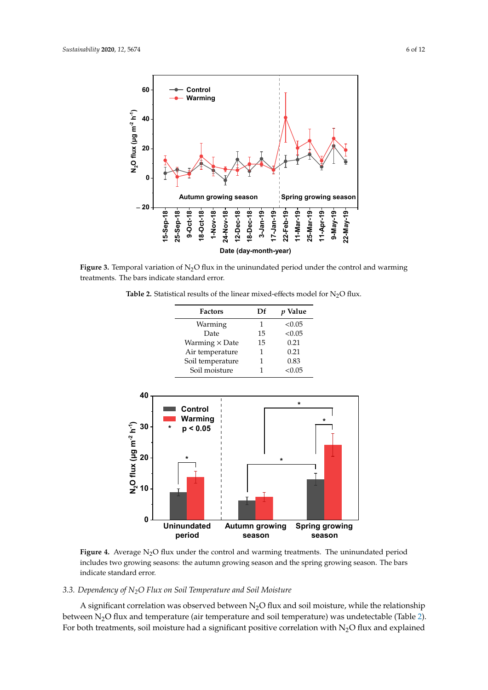<span id="page-5-0"></span>

<span id="page-5-1"></span>Figure 3. Temporal variation of  $N_2O$  flux in the uninundated period under the control and warming treatments. The bars indicate standard error. treatments. The bars indicate standard error.

**Table 2.** Statistical results of the linear mixed-effects model for  $N_2O$  flux.

| <b>Factors</b>        | Df | p Value |
|-----------------------|----|---------|
| Warming               | 1  | < 0.05  |
| Date                  | 15 | < 0.05  |
| Warming $\times$ Date | 15 | 0.21    |
| Air temperature       | 1  | 0.21    |
| Soil temperature      |    | 0.83    |
| Soil moisture         |    | < 0.05  |

<span id="page-5-2"></span>

**Figure 4.** Average N2O flux under the control and warming treatments. The uninundated period **Figure 4.** Average N2O flux under the control and warming treatments. The uninundated period includes two growing seasons: the autumn growing season and the spring growing season. The bars includes two growing seasons: the autumn growing season and the spring growing season. The bars indicate standard error. indicate standard error.

#### *3.3. Dependency of N2O Flux on Soil Temperature and Soil Moisture 3.3. Dependency of N2O Flux on Soil Temperature and Soil Moisture*

between  $N_2O$  flux and temperature (air temperature and soil temperature) was undetectable (Table [2\)](#page-5-1). For both treatments, soil moisture had a significant positive correlation with N<sub>2</sub>O flux and explained  $\mathcal{L}$  . For both treatments, soil moisture had a significant positive correlation with  $\mathcal{L}$ A significant correlation was observed between  $\mathrm{N}_2\mathrm{O}$  flux and soil moisture, while the relationship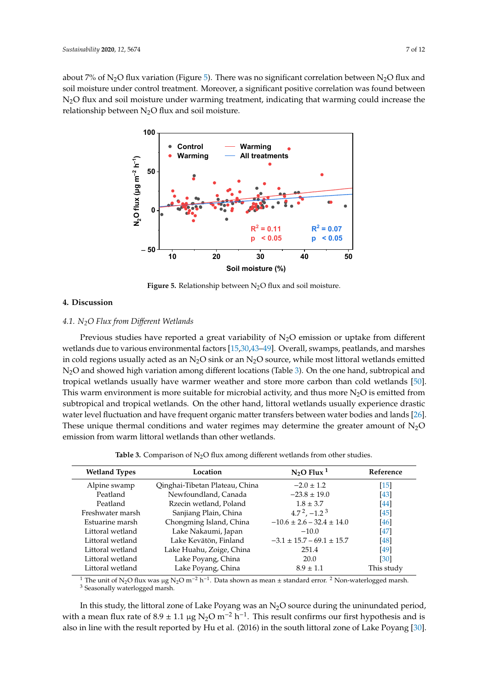<span id="page-6-0"></span>about 7% of N<sub>2</sub>O flux variation (Figure [5\)](#page-6-0). There was no significant correlation between N<sub>2</sub>O flux and soil moisture under control treatment. Moreover, a significant positive correlation was found between N2O flux and soil moisture under warming treatment, indicating that warming could increase the relationship between  $N_2O$  flux and soil moisture.



**Figure 5.** Relationship between N<sub>2</sub>O flux and soil moisture.

### **4. Discussion 4. Discussion**

## *4.1. N2O Flux from Different Wetlands 4.1. N2O Flux from Di*ff*erent Wetlands*

Previous studies have reported a great variability of N2O emission or uptake from different wetlands due to various environmental factors [\[15](#page-9-6)[,30,](#page-10-0)[43](#page-10-12)[–49\]](#page-10-13). Overall, swamps, peatlands, and marshes in cold regions usually acted as an  $N_2O$  sink or an  $N_2O$  source, while most littoral wetlands emitted marshes in cold regions usually acted as an N2O sink or an N2O source, while most littoral wetlands N2O and showed high variation among different locations (Table [3\)](#page-6-1). On the one hand, subtropical and emitted N2O and showed high variation among different locations (Table 3). On the one hand, tropical wetlands usually have warmer weather and store more carbon than cold wetlands [\[50\]](#page-10-14). This warm environment is more suitable for microbial activity, and thus more  $N_2O$  is emitted from subtropical and tropical wetlands. On the other hand, littoral wetlands usually experience drastic subtropical and tropical wetlands. On the other hand, littoral wetlands usually experience drastic emitted from subtropical wetter from subtropical and tropical wetter wetter the usually experience that it is defined to the state of the state of the state of the state of the state of the state of the state of the state water level fluctuation and have frequent organic matter transfers between water bodies and lands [\[26\]](#page-9-16). These unique thermal conditions and water regimes may determine the greater amount of  $N_2O$ emission from warm littoral wetlands than other wetlands. Previous studies have reported a great variability of  $N<sub>2</sub>O$  emission or uptake from different

**Table 3.** Comparison of  $N<sub>2</sub>O$  flux among different wetlands from other studies.

<span id="page-6-1"></span>

| <b>Wetland Types</b> | Location                       | $N_2$ O Flux <sup>1</sup>       | Reference          |
|----------------------|--------------------------------|---------------------------------|--------------------|
| Alpine swamp         | Qinghai-Tibetan Plateau, China | $-2.0 \pm 1.2$                  | $\lceil 15 \rceil$ |
| Peatland             | Newfoundland, Canada           | $-23.8 \pm 19.0$                | [43]               |
| Peatland             | Rzecin wetland, Poland         | $1.8 \pm 3.7$                   | [44]               |
| Freshwater marsh     | Sanjiang Plain, China          | $4.72$ , $-1.23$                | [45]               |
| Estuarine marsh      | Chongming Island, China        | $-10.6 \pm 2.6 - 32.4 \pm 14.0$ | [46]               |
| Littoral wetland     | Lake Nakaumi, Japan            | $-10.0$                         | [47]               |
| Littoral wetland     | Lake Kevätön, Finland          | $-3.1 \pm 15.7 - 69.1 \pm 15.7$ | [48]               |
| Littoral wetland     | Lake Huahu, Zoige, China       | 251.4                           | [49]               |
| Littoral wetland     | Lake Poyang, China             | 20.0                            | [30]               |
| Littoral wetland     | Lake Poyang, China             | $8.9 \pm 1.1$                   | This study         |

<sup>1</sup> The unit of N<sub>2</sub>O flux was µg N<sub>2</sub>O m<sup>-2</sup> h<sup>-1</sup>. Data shown as mean ± standard error. <sup>2</sup> Non-waterlogged marsh.  $3$  Seasonally waterlogged marsh.

In this study, the littoral zone of Lake Poyang was an N<sub>2</sub>O source during the uninundated period, with a mean flux rate of 8.9 ± 1.1 µg N<sub>2</sub>O m<sup>-2</sup> h<sup>-1</sup>. This result confirms our first hypothesis and is also in line with the result reported by Hu et al. (2016) in the south littoral zone of Lake Poyang [\[30\]](#page-10-0).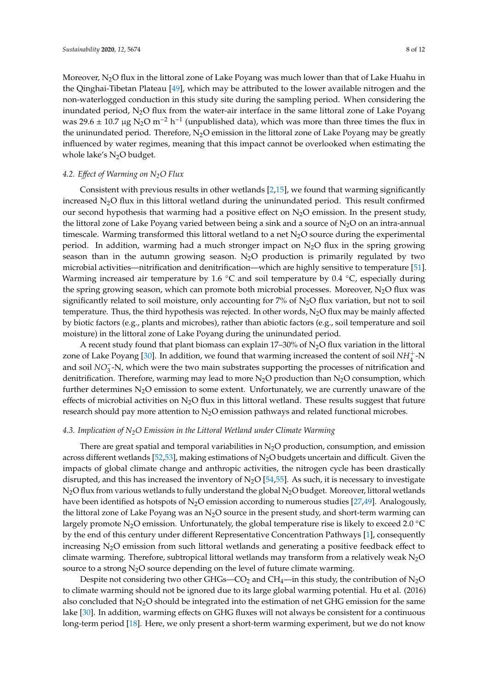Moreover,  $N_2O$  flux in the littoral zone of Lake Poyang was much lower than that of Lake Huahu in the Qinghai-Tibetan Plateau [\[49\]](#page-10-13), which may be attributed to the lower available nitrogen and the non-waterlogged conduction in this study site during the sampling period. When considering the inundated period,  $N_2O$  flux from the water-air interface in the same littoral zone of Lake Poyang was 29.6  $\pm$  10.7 µg N<sub>2</sub>O m<sup>-2</sup> h<sup>-1</sup> (unpublished data), which was more than three times the flux in the uninundated period. Therefore,  $N_2O$  emission in the littoral zone of Lake Poyang may be greatly influenced by water regimes, meaning that this impact cannot be overlooked when estimating the whole lake's  $N_2O$  budget.

#### *4.2. E*ff*ect of Warming on N2O Flux*

Consistent with previous results in other wetlands [\[2,](#page-8-1)[15\]](#page-9-6), we found that warming significantly increased  $N_2O$  flux in this littoral wetland during the uninundated period. This result confirmed our second hypothesis that warming had a positive effect on  $N_2O$  emission. In the present study, the littoral zone of Lake Poyang varied between being a sink and a source of  $N_2O$  on an intra-annual timescale. Warming transformed this littoral wetland to a net  $N_2O$  source during the experimental period. In addition, warming had a much stronger impact on  $N_2O$  flux in the spring growing season than in the autumn growing season.  $N<sub>2</sub>O$  production is primarily regulated by two microbial activities—nitrification and denitrification—which are highly sensitive to temperature [\[51\]](#page-10-20). Warming increased air temperature by 1.6  $°C$  and soil temperature by 0.4  $°C$ , especially during the spring growing season, which can promote both microbial processes. Moreover,  $N_2O$  flux was significantly related to soil moisture, only accounting for  $7\%$  of N<sub>2</sub>O flux variation, but not to soil temperature. Thus, the third hypothesis was rejected. In other words,  $N<sub>2</sub>O$  flux may be mainly affected by biotic factors (e.g., plants and microbes), rather than abiotic factors (e.g., soil temperature and soil moisture) in the littoral zone of Lake Poyang during the uninundated period.

A recent study found that plant biomass can explain 17–30% of  $N_2O$  flux variation in the littoral zone of Lake Poyang [\[30\]](#page-10-0). In addition, we found that warming increased the content of soil  $NH_4^+$ -N and soil *NO*<sup>−</sup> 3 -N, which were the two main substrates supporting the processes of nitrification and denitrification. Therefore, warming may lead to more  $N_2O$  production than  $N_2O$  consumption, which further determines  $N_2O$  emission to some extent. Unfortunately, we are currently unaware of the effects of microbial activities on  $N_2O$  flux in this littoral wetland. These results suggest that future research should pay more attention to  $N_2O$  emission pathways and related functional microbes.

#### *4.3. Implication of N2O Emission in the Littoral Wetland under Climate Warming*

There are great spatial and temporal variabilities in  $N_2O$  production, consumption, and emission across different wetlands [\[52,](#page-11-0)[53\]](#page-11-1), making estimations of  $N_2O$  budgets uncertain and difficult. Given the impacts of global climate change and anthropic activities, the nitrogen cycle has been drastically disrupted, and this has increased the inventory of  $N<sub>2</sub>O$  [\[54,](#page-11-2)[55\]](#page-11-3). As such, it is necessary to investigate  $N_2O$  flux from various wetlands to fully understand the global  $N_2O$  budget. Moreover, littoral wetlands have been identified as hotspots of  $N_2O$  emission according to numerous studies [\[27,](#page-9-17)[49\]](#page-10-13). Analogously, the littoral zone of Lake Poyang was an  $N_2O$  source in the present study, and short-term warming can largely promote N<sub>2</sub>O emission. Unfortunately, the global temperature rise is likely to exceed 2.0 °C by the end of this century under different Representative Concentration Pathways [\[1\]](#page-8-0), consequently increasing  $N_2O$  emission from such littoral wetlands and generating a positive feedback effect to climate warming. Therefore, subtropical littoral wetlands may transform from a relatively weak  $N_2O$ source to a strong  $N_2O$  source depending on the level of future climate warming.

Despite not considering two other GHGs—CO<sub>2</sub> and CH<sub>4</sub>—in this study, the contribution of N<sub>2</sub>O to climate warming should not be ignored due to its large global warming potential. Hu et al. (2016) also concluded that  $N_2O$  should be integrated into the estimation of net GHG emission for the same lake [\[30\]](#page-10-0). In addition, warming effects on GHG fluxes will not always be consistent for a continuous long-term period [\[18\]](#page-9-8). Here, we only present a short-term warming experiment, but we do not know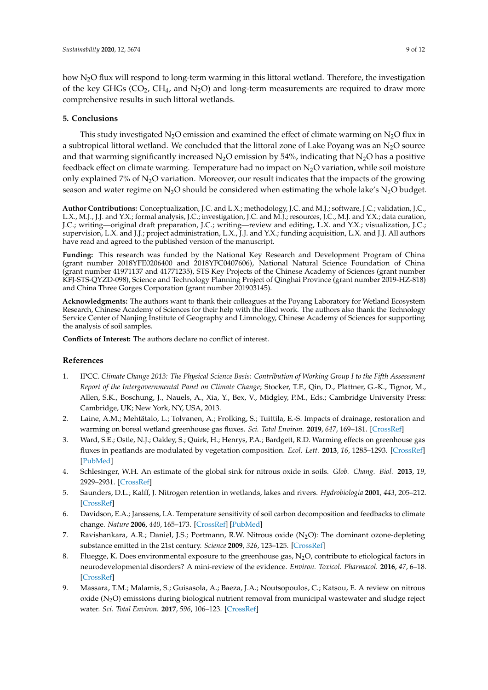how N<sub>2</sub>O flux will respond to long-term warming in this littoral wetland. Therefore, the investigation of the key GHGs ( $CO<sub>2</sub>$ ,  $CH<sub>4</sub>$ , and N<sub>2</sub>O) and long-term measurements are required to draw more comprehensive results in such littoral wetlands.

#### **5. Conclusions**

This study investigated  $N_2O$  emission and examined the effect of climate warming on  $N_2O$  flux in a subtropical littoral wetland. We concluded that the littoral zone of Lake Poyang was an  $N_2O$  source and that warming significantly increased  $N_2O$  emission by 54%, indicating that  $N_2O$  has a positive feedback effect on climate warming. Temperature had no impact on  $N_2O$  variation, while soil moisture only explained 7% of  $N_2O$  variation. Moreover, our result indicates that the impacts of the growing season and water regime on  $N_2O$  should be considered when estimating the whole lake's  $N_2O$  budget.

**Author Contributions:** Conceptualization, J.C. and L.X.; methodology, J.C. and M.J.; software, J.C.; validation, J.C., L.X., M.J., J.J. and Y.X.; formal analysis, J.C.; investigation, J.C. and M.J.; resources, J.C., M.J. and Y.X.; data curation, J.C.; writing—original draft preparation, J.C.; writing—review and editing, L.X. and Y.X.; visualization, J.C.; supervision, L.X. and J.J.; project administration, L.X., J.J. and Y.X.; funding acquisition, L.X. and J.J. All authors have read and agreed to the published version of the manuscript.

**Funding:** This research was funded by the National Key Research and Development Program of China (grant number 2018YFE0206400 and 2018YFC0407606), National Natural Science Foundation of China (grant number 41971137 and 41771235), STS Key Projects of the Chinese Academy of Sciences (grant number KFJ-STS-QYZD-098), Science and Technology Planning Project of Qinghai Province (grant number 2019-HZ-818) and China Three Gorges Corporation (grant number 201903145).

**Acknowledgments:** The authors want to thank their colleagues at the Poyang Laboratory for Wetland Ecosystem Research, Chinese Academy of Sciences for their help with the filed work. The authors also thank the Technology Service Center of Nanjing Institute of Geography and Limnology, Chinese Academy of Sciences for supporting the analysis of soil samples.

**Conflicts of Interest:** The authors declare no conflict of interest.

#### **References**

- <span id="page-8-0"></span>1. IPCC. *Climate Change 2013: The Physical Science Basis: Contribution of Working Group I to the Fifth Assessment Report of the Intergovernmental Panel on Climate Change*; Stocker, T.F., Qin, D., Plattner, G.-K., Tignor, M., Allen, S.K., Boschung, J., Nauels, A., Xia, Y., Bex, V., Midgley, P.M., Eds.; Cambridge University Press: Cambridge, UK; New York, NY, USA, 2013.
- <span id="page-8-1"></span>2. Laine, A.M.; Mehtätalo, L.; Tolvanen, A.; Frolking, S.; Tuittila, E.-S. Impacts of drainage, restoration and warming on boreal wetland greenhouse gas fluxes. *Sci. Total Environ.* **2019**, *647*, 169–181. [\[CrossRef\]](http://dx.doi.org/10.1016/j.scitotenv.2018.07.390)
- <span id="page-8-2"></span>3. Ward, S.E.; Ostle, N.J.; Oakley, S.; Quirk, H.; Henrys, P.A.; Bardgett, R.D. Warming effects on greenhouse gas fluxes in peatlands are modulated by vegetation composition. *Ecol. Lett.* **2013**, *16*, 1285–1293. [\[CrossRef\]](http://dx.doi.org/10.1111/ele.12167) [\[PubMed\]](http://www.ncbi.nlm.nih.gov/pubmed/23953244)
- <span id="page-8-3"></span>4. Schlesinger, W.H. An estimate of the global sink for nitrous oxide in soils. *Glob. Chang. Biol.* **2013**, *19*, 2929–2931. [\[CrossRef\]](http://dx.doi.org/10.1111/gcb.12239)
- 5. Saunders, D.L.; Kalff, J. Nitrogen retention in wetlands, lakes and rivers. *Hydrobiologia* **2001**, *443*, 205–212. [\[CrossRef\]](http://dx.doi.org/10.1023/A:1017506914063)
- <span id="page-8-4"></span>6. Davidson, E.A.; Janssens, I.A. Temperature sensitivity of soil carbon decomposition and feedbacks to climate change. *Nature* **2006**, *440*, 165–173. [\[CrossRef\]](http://dx.doi.org/10.1038/nature04514) [\[PubMed\]](http://www.ncbi.nlm.nih.gov/pubmed/16525463)
- <span id="page-8-5"></span>7. Ravishankara, A.R.; Daniel, J.S.; Portmann, R.W. Nitrous oxide (N<sub>2</sub>O): The dominant ozone-depleting substance emitted in the 21st century. *Science* **2009**, *326*, 123–125. [\[CrossRef\]](http://dx.doi.org/10.1126/science.1176985)
- <span id="page-8-6"></span>8. Fluegge, K. Does environmental exposure to the greenhouse gas,  $N<sub>2</sub>O$ , contribute to etiological factors in neurodevelopmental disorders? A mini-review of the evidence. *Environ. Toxicol. Pharmacol.* **2016**, *47*, 6–18. [\[CrossRef\]](http://dx.doi.org/10.1016/j.etap.2016.08.013)
- <span id="page-8-7"></span>9. Massara, T.M.; Malamis, S.; Guisasola, A.; Baeza, J.A.; Noutsopoulos, C.; Katsou, E. A review on nitrous oxide  $(N_2O)$  emissions during biological nutrient removal from municipal wastewater and sludge reject water. *Sci. Total Environ.* **2017**, *596*, 106–123. [\[CrossRef\]](http://dx.doi.org/10.1016/j.scitotenv.2017.03.191)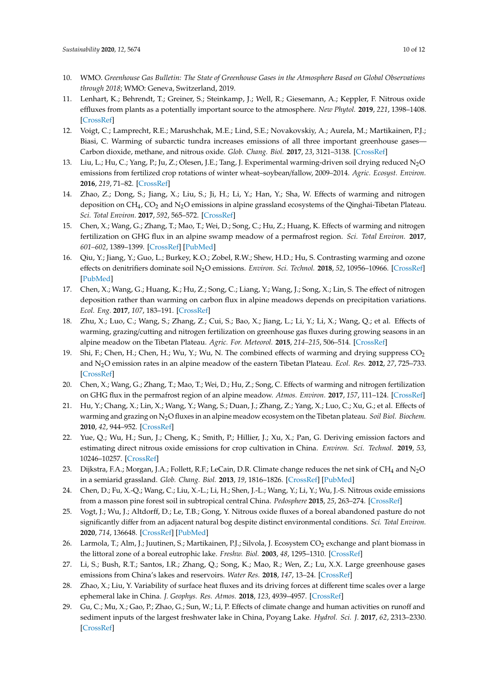- <span id="page-9-0"></span>10. WMO. *Greenhouse Gas Bulletin: The State of Greenhouse Gases in the Atmosphere Based on Global Observations through 2018*; WMO: Geneva, Switzerland, 2019.
- <span id="page-9-1"></span>11. Lenhart, K.; Behrendt, T.; Greiner, S.; Steinkamp, J.; Well, R.; Giesemann, A.; Keppler, F. Nitrous oxide effluxes from plants as a potentially important source to the atmosphere. *New Phytol.* **2019**, *221*, 1398–1408. [\[CrossRef\]](http://dx.doi.org/10.1111/nph.15455)
- <span id="page-9-2"></span>12. Voigt, C.; Lamprecht, R.E.; Marushchak, M.E.; Lind, S.E.; Novakovskiy, A.; Aurela, M.; Martikainen, P.J.; Biasi, C. Warming of subarctic tundra increases emissions of all three important greenhouse gases— Carbon dioxide, methane, and nitrous oxide. *Glob. Chang. Biol.* **2017**, *23*, 3121–3138. [\[CrossRef\]](http://dx.doi.org/10.1111/gcb.13563)
- <span id="page-9-3"></span>13. Liu, L.; Hu, C.; Yang, P.; Ju, Z.; Olesen, J.E.; Tang, J. Experimental warming-driven soil drying reduced N2O emissions from fertilized crop rotations of winter wheat–soybean/fallow, 2009–2014. *Agric. Ecosyst. Environ.* **2016**, *219*, 71–82. [\[CrossRef\]](http://dx.doi.org/10.1016/j.agee.2015.12.013)
- <span id="page-9-4"></span>14. Zhao, Z.; Dong, S.; Jiang, X.; Liu, S.; Ji, H.; Li, Y.; Han, Y.; Sha, W. Effects of warming and nitrogen deposition on CH $_4$ , CO<sub>2</sub> and N<sub>2</sub>O emissions in alpine grassland ecosystems of the Qinghai-Tibetan Plateau. *Sci. Total Environ.* **2017**, *592*, 565–572. [\[CrossRef\]](http://dx.doi.org/10.1016/j.scitotenv.2017.03.082)
- <span id="page-9-6"></span>15. Chen, X.; Wang, G.; Zhang, T.; Mao, T.; Wei, D.; Song, C.; Hu, Z.; Huang, K. Effects of warming and nitrogen fertilization on GHG flux in an alpine swamp meadow of a permafrost region. *Sci. Total Environ.* **2017**, *601–602*, 1389–1399. [\[CrossRef\]](http://dx.doi.org/10.1016/j.scitotenv.2017.06.028) [\[PubMed\]](http://www.ncbi.nlm.nih.gov/pubmed/28605857)
- <span id="page-9-5"></span>16. Qiu, Y.; Jiang, Y.; Guo, L.; Burkey, K.O.; Zobel, R.W.; Shew, H.D.; Hu, S. Contrasting warming and ozone effects on denitrifiers dominate soil N2O emissions. *Environ. Sci. Technol.* **2018**, *52*, 10956–10966. [\[CrossRef\]](http://dx.doi.org/10.1021/acs.est.8b01093) [\[PubMed\]](http://www.ncbi.nlm.nih.gov/pubmed/30157374)
- <span id="page-9-7"></span>17. Chen, X.; Wang, G.; Huang, K.; Hu, Z.; Song, C.; Liang, Y.; Wang, J.; Song, X.; Lin, S. The effect of nitrogen deposition rather than warming on carbon flux in alpine meadows depends on precipitation variations. *Ecol. Eng.* **2017**, *107*, 183–191. [\[CrossRef\]](http://dx.doi.org/10.1016/j.ecoleng.2017.07.018)
- <span id="page-9-8"></span>18. Zhu, X.; Luo, C.; Wang, S.; Zhang, Z.; Cui, S.; Bao, X.; Jiang, L.; Li, Y.; Li, X.; Wang, Q.; et al. Effects of warming, grazing/cutting and nitrogen fertilization on greenhouse gas fluxes during growing seasons in an alpine meadow on the Tibetan Plateau. *Agric. For. Meteorol.* **2015**, *214–215*, 506–514. [\[CrossRef\]](http://dx.doi.org/10.1016/j.agrformet.2015.09.008)
- <span id="page-9-9"></span>19. Shi, F.; Chen, H.; Chen, H.; Wu, Y.; Wu, N. The combined effects of warming and drying suppress CO<sub>2</sub> and N2O emission rates in an alpine meadow of the eastern Tibetan Plateau. *Ecol. Res.* **2012**, *27*, 725–733. [\[CrossRef\]](http://dx.doi.org/10.1007/s11284-012-0950-8)
- <span id="page-9-10"></span>20. Chen, X.; Wang, G.; Zhang, T.; Mao, T.; Wei, D.; Hu, Z.; Song, C. Effects of warming and nitrogen fertilization on GHG flux in the permafrost region of an alpine meadow. *Atmos. Environ.* **2017**, *157*, 111–124. [\[CrossRef\]](http://dx.doi.org/10.1016/j.atmosenv.2017.03.024)
- <span id="page-9-11"></span>21. Hu, Y.; Chang, X.; Lin, X.; Wang, Y.; Wang, S.; Duan, J.; Zhang, Z.; Yang, X.; Luo, C.; Xu, G.; et al. Effects of warming and grazing on N2O fluxes in an alpine meadow ecosystem on the Tibetan plateau. *Soil Biol. Biochem.* **2010**, *42*, 944–952. [\[CrossRef\]](http://dx.doi.org/10.1016/j.soilbio.2010.02.011)
- <span id="page-9-12"></span>22. Yue, Q.; Wu, H.; Sun, J.; Cheng, K.; Smith, P.; Hillier, J.; Xu, X.; Pan, G. Deriving emission factors and estimating direct nitrous oxide emissions for crop cultivation in China. *Environ. Sci. Technol.* **2019**, *53*, 10246–10257. [\[CrossRef\]](http://dx.doi.org/10.1021/acs.est.9b01285)
- <span id="page-9-13"></span>23. Dijkstra, F.A.; Morgan, J.A.; Follett, R.F.; LeCain, D.R. Climate change reduces the net sink of CH<sub>4</sub> and N<sub>2</sub>O in a semiarid grassland. *Glob. Chang. Biol.* **2013**, *19*, 1816–1826. [\[CrossRef\]](http://dx.doi.org/10.1111/gcb.12182) [\[PubMed\]](http://www.ncbi.nlm.nih.gov/pubmed/23505264)
- <span id="page-9-14"></span>24. Chen, D.; Fu, X.-Q.; Wang, C.; Liu, X.-L.; Li, H.; Shen, J.-L.; Wang, Y.; Li, Y.; Wu, J.-S. Nitrous oxide emissions from a masson pine forest soil in subtropical central China. *Pedosphere* **2015**, *25*, 263–274. [\[CrossRef\]](http://dx.doi.org/10.1016/S1002-0160(15)60011-X)
- <span id="page-9-15"></span>25. Vogt, J.; Wu, J.; Altdorff, D.; Le, T.B.; Gong, Y. Nitrous oxide fluxes of a boreal abandoned pasture do not significantly differ from an adjacent natural bog despite distinct environmental conditions. *Sci. Total Environ.* **2020**, *714*, 136648. [\[CrossRef\]](http://dx.doi.org/10.1016/j.scitotenv.2020.136648) [\[PubMed\]](http://www.ncbi.nlm.nih.gov/pubmed/32018951)
- <span id="page-9-16"></span>26. Larmola, T.; Alm, J.; Juutinen, S.; Martikainen, P.J.; Silvola, J. Ecosystem CO<sub>2</sub> exchange and plant biomass in the littoral zone of a boreal eutrophic lake. *Freshw. Biol.* **2003**, *48*, 1295–1310. [\[CrossRef\]](http://dx.doi.org/10.1046/j.1365-2427.2003.01079.x)
- <span id="page-9-17"></span>27. Li, S.; Bush, R.T.; Santos, I.R.; Zhang, Q.; Song, K.; Mao, R.; Wen, Z.; Lu, X.X. Large greenhouse gases emissions from China's lakes and reservoirs. *Water Res.* **2018**, *147*, 13–24. [\[CrossRef\]](http://dx.doi.org/10.1016/j.watres.2018.09.053)
- <span id="page-9-18"></span>28. Zhao, X.; Liu, Y. Variability of surface heat fluxes and its driving forces at different time scales over a large ephemeral lake in China. *J. Geophys. Res. Atmos.* **2018**, *123*, 4939–4957. [\[CrossRef\]](http://dx.doi.org/10.1029/2017JD027437)
- <span id="page-9-19"></span>29. Gu, C.; Mu, X.; Gao, P.; Zhao, G.; Sun, W.; Li, P. Effects of climate change and human activities on runoff and sediment inputs of the largest freshwater lake in China, Poyang Lake. *Hydrol. Sci. J.* **2017**, *62*, 2313–2330. [\[CrossRef\]](http://dx.doi.org/10.1080/02626667.2017.1372856)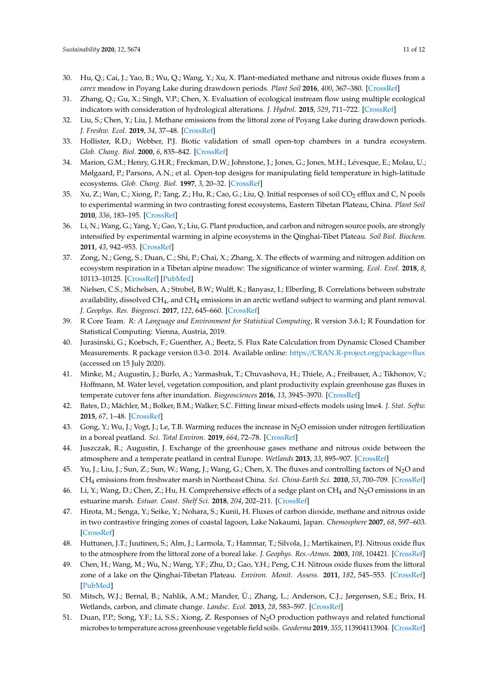- <span id="page-10-0"></span>30. Hu, Q.; Cai, J.; Yao, B.; Wu, Q.; Wang, Y.; Xu, X. Plant-mediated methane and nitrous oxide fluxes from a *carex* meadow in Poyang Lake during drawdown periods. *Plant Soil* **2016**, *400*, 367–380. [\[CrossRef\]](http://dx.doi.org/10.1007/s11104-015-2733-9)
- 31. Zhang, Q.; Gu, X.; Singh, V.P.; Chen, X. Evaluation of ecological instream flow using multiple ecological indicators with consideration of hydrological alterations. *J. Hydrol.* **2015**, *529*, 711–722. [\[CrossRef\]](http://dx.doi.org/10.1016/j.jhydrol.2015.08.066)
- <span id="page-10-1"></span>32. Liu, S.; Chen, Y.; Liu, J. Methane emissions from the littoral zone of Poyang Lake during drawdown periods. *J. Freshw. Ecol.* **2019**, *34*, 37–48. [\[CrossRef\]](http://dx.doi.org/10.1080/02705060.2018.1537941)
- <span id="page-10-2"></span>33. Hollister, R.D.; Webber, P.J. Biotic validation of small open-top chambers in a tundra ecosystem. *Glob. Chang. Biol.* **2000**, *6*, 835–842. [\[CrossRef\]](http://dx.doi.org/10.1046/j.1365-2486.2000.00363.x)
- <span id="page-10-3"></span>34. Marion, G.M.; Henry, G.H.R.; Freckman, D.W.; Johnstone, J.; Jones, G.; Jones, M.H.; Lévesque, E.; Molau, U.; Mølgaard, P.; Parsons, A.N.; et al. Open-top designs for manipulating field temperature in high-latitude ecosystems. *Glob. Chang. Biol.* **1997**, *3*, 20–32. [\[CrossRef\]](http://dx.doi.org/10.1111/j.1365-2486.1997.gcb136.x)
- <span id="page-10-4"></span>35. Xu, Z.; Wan, C.; Xiong, P.; Tang, Z.; Hu, R.; Cao, G.; Liu, Q. Initial responses of soil CO<sub>2</sub> efflux and C, N pools to experimental warming in two contrasting forest ecosystems, Eastern Tibetan Plateau, China. *Plant Soil* **2010**, *336*, 183–195. [\[CrossRef\]](http://dx.doi.org/10.1007/s11104-010-0461-8)
- <span id="page-10-5"></span>36. Li, N.; Wang, G.; Yang, Y.; Gao, Y.; Liu, G. Plant production, and carbon and nitrogen source pools, are strongly intensified by experimental warming in alpine ecosystems in the Qinghai-Tibet Plateau. *Soil Biol. Biochem.* **2011**, *43*, 942–953. [\[CrossRef\]](http://dx.doi.org/10.1016/j.soilbio.2011.01.009)
- <span id="page-10-6"></span>37. Zong, N.; Geng, S.; Duan, C.; Shi, P.; Chai, X.; Zhang, X. The effects of warming and nitrogen addition on ecosystem respiration in a Tibetan alpine meadow: The significance of winter warming. *Ecol. Evol.* **2018**, *8*, 10113–10125. [\[CrossRef\]](http://dx.doi.org/10.1002/ece3.4484) [\[PubMed\]](http://www.ncbi.nlm.nih.gov/pubmed/30397451)
- <span id="page-10-7"></span>38. Nielsen, C.S.; Michelsen, A.; Strobel, B.W.; Wulff, K.; Banyasz, I.; Elberling, B. Correlations between substrate availability, dissolved  $\rm CH_{4}$ , and  $\rm CH_{4}$  emissions in an arctic wetland subject to warming and plant removal. *J. Geophys. Res. Biogeosci.* **2017**, *122*, 645–660. [\[CrossRef\]](http://dx.doi.org/10.1002/2016JG003511)
- <span id="page-10-8"></span>39. R Core Team. *R: A Language and Environment for Statistical Computing*, R version 3.6.1; R Foundation for Statistical Computing: Vienna, Austria, 2019.
- <span id="page-10-9"></span>40. Jurasinski, G.; Koebsch, F.; Guenther, A.; Beetz, S. Flux Rate Calculation from Dynamic Closed Chamber Measurements. R package version 0.3-0. 2014. Available online: https://[CRAN.R-project.org](https://CRAN.R-project.org/package=flux)/package=flux (accessed on 15 July 2020).
- <span id="page-10-10"></span>41. Minke, M.; Augustin, J.; Burlo, A.; Yarmashuk, T.; Chuvashova, H.; Thiele, A.; Freibauer, A.; Tikhonov, V.; Hoffmann, M. Water level, vegetation composition, and plant productivity explain greenhouse gas fluxes in temperate cutover fens after inundation. *Biogeosciences* **2016**, *13*, 3945–3970. [\[CrossRef\]](http://dx.doi.org/10.5194/bg-13-3945-2016)
- <span id="page-10-11"></span>42. Bates, D.; Mächler, M.; Bolker, B.M.; Walker, S.C. Fitting linear mixed-effects models using lme4. *J. Stat. Softw.* **2015**, *67*, 1–48. [\[CrossRef\]](http://dx.doi.org/10.18637/jss.v067.i01)
- <span id="page-10-12"></span>43. Gong, Y.; Wu, J.; Vogt, J.; Le, T.B. Warming reduces the increase in N2O emission under nitrogen fertilization in a boreal peatland. *Sci. Total Environ.* **2019**, *664*, 72–78. [\[CrossRef\]](http://dx.doi.org/10.1016/j.scitotenv.2019.02.012)
- <span id="page-10-15"></span>44. Juszczak, R.; Augustin, J. Exchange of the greenhouse gases methane and nitrous oxide between the atmosphere and a temperate peatland in central Europe. *Wetlands* **2013**, *33*, 895–907. [\[CrossRef\]](http://dx.doi.org/10.1007/s13157-013-0448-3)
- <span id="page-10-16"></span>45. Yu, J.; Liu, J.; Sun, Z.; Sun, W.; Wang, J.; Wang, G.; Chen, X. The fluxes and controlling factors of N2O and CH<sup>4</sup> emissions from freshwater marsh in Northeast China. *Sci. China-Earth Sci.* **2010**, *53*, 700–709. [\[CrossRef\]](http://dx.doi.org/10.1007/s11430-010-0003-5)
- <span id="page-10-17"></span>46. Li, Y.; Wang, D.; Chen, Z.; Hu, H. Comprehensive effects of a sedge plant on CH<sub>4</sub> and N<sub>2</sub>O emissions in an estuarine marsh. *Estuar. Coast. Shelf Sci.* **2018**, *204*, 202–211. [\[CrossRef\]](http://dx.doi.org/10.1016/j.ecss.2018.03.008)
- <span id="page-10-18"></span>47. Hirota, M.; Senga, Y.; Seike, Y.; Nohara, S.; Kunii, H. Fluxes of carbon dioxide, methane and nitrous oxide in two contrastive fringing zones of coastal lagoon, Lake Nakaumi, Japan. *Chemosphere* **2007**, *68*, 597–603. [\[CrossRef\]](http://dx.doi.org/10.1016/j.chemosphere.2007.01.002)
- <span id="page-10-19"></span>48. Huttunen, J.T.; Juutinen, S.; Alm, J.; Larmola, T.; Hammar, T.; Silvola, J.; Martikainen, P.J. Nitrous oxide flux to the atmosphere from the littoral zone of a boreal lake. *J. Geophys. Res.-Atmos.* **2003**, *108*, 104421. [\[CrossRef\]](http://dx.doi.org/10.1029/2002JD002989)
- <span id="page-10-13"></span>49. Chen, H.; Wang, M.; Wu, N.; Wang, Y.F.; Zhu, D.; Gao, Y.H.; Peng, C.H. Nitrous oxide fluxes from the littoral zone of a lake on the Qinghai-Tibetan Plateau. *Environ. Monit. Assess.* **2011**, *182*, 545–553. [\[CrossRef\]](http://dx.doi.org/10.1007/s10661-011-1896-y) [\[PubMed\]](http://www.ncbi.nlm.nih.gov/pubmed/21327481)
- <span id="page-10-14"></span>50. Mitsch, W.J.; Bernal, B.; Nahlik, A.M.; Mander, Ü.; Zhang, L.; Anderson, C.J.; Jørgensen, S.E.; Brix, H. Wetlands, carbon, and climate change. *Landsc. Ecol.* **2013**, *28*, 583–597. [\[CrossRef\]](http://dx.doi.org/10.1007/s10980-012-9758-8)
- <span id="page-10-20"></span>51. Duan, P.P.; Song, Y.F.; Li, S.S.; Xiong, Z. Responses of N<sub>2</sub>O production pathways and related functional microbes to temperature across greenhouse vegetable field soils. *Geoderma* **2019**, *355*, 113904113904. [\[CrossRef\]](http://dx.doi.org/10.1016/j.geoderma.2019.113904)